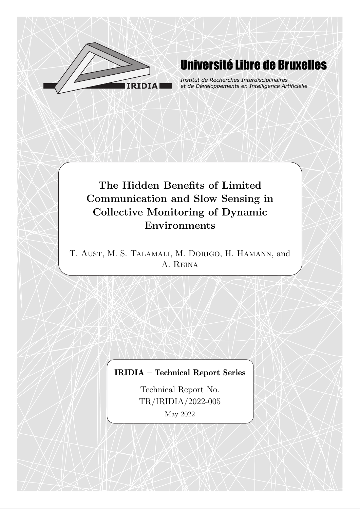

# **Université Libre de Bruxelles**

Institut de Recherches Interdisciplinaires et de Développements en Intelligence Artificielle

## The Hidden Benefits of Limited Communication and Slow Sensing in Collective Monitoring of Dynamic Environments

T. Aust, M. S. Talamali, M. Dorigo, H. Hamann, and A. Reina

## IRIDIA – Technical Report Series

Technical Report No. TR/IRIDIA/2022-005 May 2022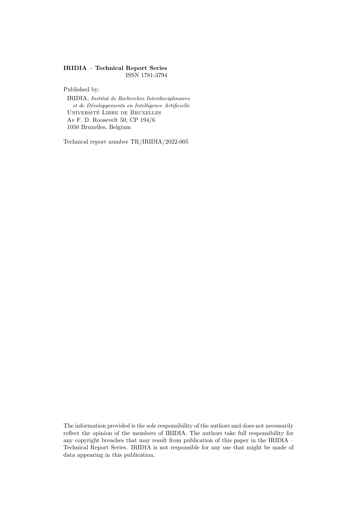#### IRIDIA – Technical Report Series ISSN 1781-3794

Published by:

IRIDIA, Institut de Recherches Interdisciplinaires et de Développements en Intelligence Artificielle UNIVERSITÉ LIBRE DE BRUXELLES Av F. D. Roosevelt 50, CP 194/6 1050 Bruxelles, Belgium

Technical report number TR/IRIDIA/2022-005

The information provided is the sole responsibility of the authors and does not necessarily reflect the opinion of the members of IRIDIA. The authors take full responsibility for any copyright breaches that may result from publication of this paper in the IRIDIA – Technical Report Series. IRIDIA is not responsible for any use that might be made of data appearing in this publication.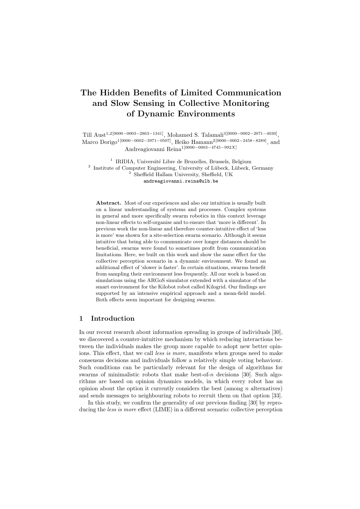### The Hidden Benefits of Limited Communication and Slow Sensing in Collective Monitoring of Dynamic Environments

Till Aust<sup>1,2</sup>[0000−0003−2863−1341], Mohamed S. Talamali<sup>3</sup>[0000−0002−2071−4030], Marco Dorigo<sup>1</sup>[0000−0002−3971−0507], Heiko Hamann<sup>2</sup>[0000−0002−2458−8289], and Andreagiovanni Reina1[0000−0003−4745−992X]

<sup>1</sup> IRIDIA, Université Libre de Bruxelles, Brussels, Belgium <sup>2</sup> Institute of Computer Engineering, University of Lübeck, Lübeck, Germany <sup>3</sup> Sheffield Hallam University, Sheffield, UK andreagiovanni.reina@ulb.be

Abstract. Most of our experiences and also our intuition is usually built on a linear understanding of systems and processes. Complex systems in general and more specifically swarm robotics in this context leverage non-linear effects to self-organise and to ensure that 'more is different'. In previous work the non-linear and therefore counter-intuitive effect of 'less is more' was shown for a site-selection swarm scenario. Although it seems intuitive that being able to communicate over longer distances should be beneficial, swarms were found to sometimes profit from communication limitations. Here, we built on this work and show the same effect for the collective perception scenario in a dynamic environment. We found an additional effect of 'slower is faster'. In certain situations, swarms benefit from sampling their environment less frequently. All our work is based on simulations using the ARGoS simulator extended with a simulator of the smart environment for the Kilobot robot called Kilogrid. Our findings are supported by an intensive empirical approach and a mean-field model. Both effects seem important for designing swarms.

#### 1 Introduction

In our recent research about information spreading in groups of individuals [30], we discovered a counter-intuitive mechanism by which reducing interactions between the individuals makes the group more capable to adopt new better opinions. This effect, that we call less is more, manifests when groups need to make consensus decisions and individuals follow a relatively simple voting behaviour. Such conditions can be particularly relevant for the design of algorithms for swarms of minimalistic robots that make best-of- $n$  decisions [30]. Such algorithms are based on opinion dynamics models, in which every robot has an opinion about the option it currently considers the best (among  $n$  alternatives) and sends messages to neighbouring robots to recruit them on that option [33].

In this study, we confirm the generality of our previous finding [30] by reproducing the less is more effect (LIME) in a different scenario: collective perception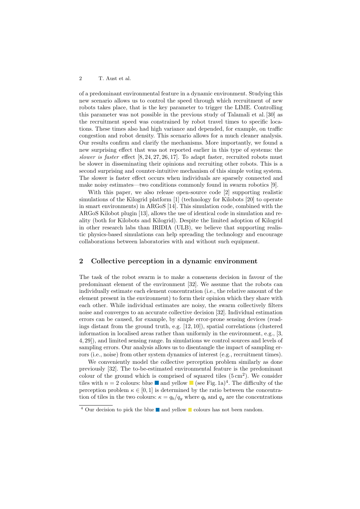of a predominant environmental feature in a dynamic environment. Studying this new scenario allows us to control the speed through which recruitment of new robots takes place, that is the key parameter to trigger the LIME. Controlling this parameter was not possible in the previous study of Talamali et al. [30] as the recruitment speed was constrained by robot travel times to specific locations. These times also had high variance and depended, for example, on traffic congestion and robot density. This scenario allows for a much cleaner analysis. Our results confirm and clarify the mechanisms. More importantly, we found a new surprising effect that was not reported earlier in this type of systems: the slower is faster effect  $[8, 24, 27, 26, 17]$ . To adapt faster, recruited robots must be slower in disseminating their opinions and recruiting other robots. This is a second surprising and counter-intuitive mechanism of this simple voting system. The slower is faster effect occurs when individuals are sparsely connected and make noisy estimates—two conditions commonly found in swarm robotics [9].

With this paper, we also release open-source code [2] supporting realistic simulations of the Kilogrid platform [1] (technology for Kilobots [20] to operate in smart environments) in ARGoS [14]. This simulation code, combined with the ARGoS Kilobot plugin [13], allows the use of identical code in simulation and reality (both for Kilobots and Kilogrid). Despite the limited adoption of Kilogrid in other research labs than IRIDIA (ULB), we believe that supporting realistic physics-based simulations can help spreading the technology and encourage collaborations between laboratories with and without such equipment.

#### 2 Collective perception in a dynamic environment

The task of the robot swarm is to make a consensus decision in favour of the predominant element of the environment [32]. We assume that the robots can individually estimate each element concentration (i.e., the relative amount of the element present in the environment) to form their opinion which they share with each other. While individual estimates are noisy, the swarm collectively filters noise and converges to an accurate collective decision [32]. Individual estimation errors can be caused, for example, by simple error-prone sensing devices (readings distant from the ground truth, e.g. [12, 10]), spatial correlations (clustered information in localised areas rather than uniformly in the environment, e.g., [3, 4, 29]), and limited sensing range. In simulations we control sources and levels of sampling errors. Our analysis allows us to disentangle the impact of sampling errors (i.e., noise) from other system dynamics of interest (e.g., recruitment times).

We conveniently model the collective perception problem similarly as done previously [32]. The to-be-estimated environmental feature is the predominant colour of the ground which is comprised of squared tiles  $(5 \text{ cm}^2)$ . We consider tiles with  $n = 2$  colours: blue **a** and yellow **i** (see Fig. 1a)<sup>4</sup>. The difficulty of the perception problem  $\kappa \in [0, 1]$  is determined by the ratio between the concentration of tiles in the two colours:  $\kappa = q_b/q_y$  where  $q_b$  and  $q_y$  are the concentrations

 $\frac{4}{4}$  Our decision to pick the blue and yellow colours has not been random.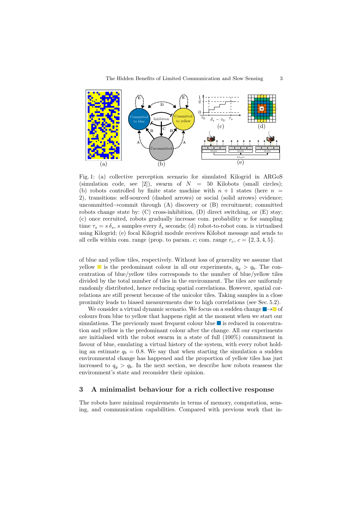

Fig. 1: (a) collective perception scenario for simulated Kilogrid in ARGoS (simulation code, see [2]), swarm of  $N = 50$  Kilobots (small circles); (b) robots controlled by finite state machine with  $n + 1$  states (here  $n =$ 2), transitions: self-sourced (dashed arrows) or social (solid arrows) evidence; uncommitted $\rightarrow$ commit through (A) discovery or (B) recruitment; committed robots change state by:  $(C)$  cross-inhibition,  $(D)$  direct switching, or  $(E)$  stay;  $(c)$  once recruited, robots gradually increase com. probability w for sampling time  $\tau_s = s \, \delta_s$ , s samples every  $\delta_s$  seconds; (d) robot-to-robot com. is virtualised using Kilogrid; (e) focal Kilogrid module receives Kilobot message and sends to all cells within com. range (prop. to param. c; com. range  $r_c$ ,  $c = \{2, 3, 4, 5\}$ .

of blue and yellow tiles, respectively. Without loss of generality we assume that yellow is the predominant colour in all our experiments,  $q_y > q_b$ . The concentration of blue/yellow tiles corresponds to the number of blue/yellow tiles divided by the total number of tiles in the environment. The tiles are uniformly randomly distributed, hence reducing spatial correlations. However, spatial correlations are still present because of the unicolor tiles. Taking samples in a close proximity leads to biased measurements due to high correlations (see Sec. 5.2).

We consider a virtual dynamic scenario. We focus on a sudden change  $\rightarrow$  of colours from blue to yellow that happens right at the moment when we start our simulations. The previously most frequent colour blue  $\blacksquare$  is reduced in concentration and yellow is the predominant colour after the change. All our experiments are initialised with the robot swarm in a state of full (100%) commitment in favour of blue, emulating a virtual history of the system, with every robot holding an estimate  $q_b = 0.8$ . We say that when starting the simulation a sudden environmental change has happened and the proportion of yellow tiles has just increased to  $q_y > q_b$ . In the next section, we describe how robots reassess the environment's state and reconsider their opinion.

#### 3 A minimalist behaviour for a rich collective response

The robots have minimal requirements in terms of memory, computation, sensing, and communication capabilities. Compared with previous work that in-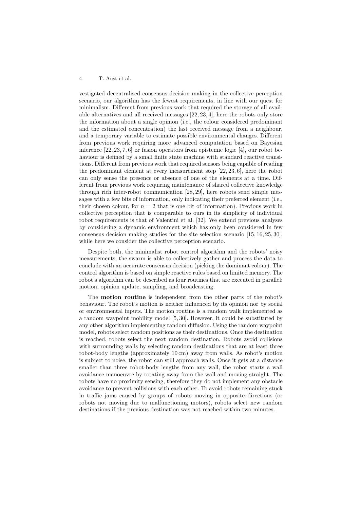vestigated decentralised consensus decision making in the collective perception scenario, our algorithm has the fewest requirements, in line with our quest for minimalism. Different from previous work that required the storage of all available alternatives and all received messages [22, 23, 4], here the robots only store the information about a single opinion (i.e., the colour considered predominant and the estimated concentration) the last received message from a neighbour, and a temporary variable to estimate possible environmental changes. Different from previous work requiring more advanced computation based on Bayesian inference [22, 23, 7, 6] or fusion operators from epistemic logic [4], our robot behaviour is defined by a small finite state machine with standard reactive transitions. Different from previous work that required sensors being capable of reading the predominant element at every measurement step [22, 23, 6], here the robot can only sense the presence or absence of one of the elements at a time. Different from previous work requiring maintenance of shared collective knowledge through rich inter-robot communication [28, 29], here robots send simple messages with a few bits of information, only indicating their preferred element (i.e., their chosen colour, for  $n = 2$  that is one bit of information). Previous work in collective perception that is comparable to ours in its simplicity of individual robot requirements is that of Valentini et al. [32]. We extend previous analyses by considering a dynamic environment which has only been considered in few consensus decision making studies for the site selection scenario [15, 16, 25, 30], while here we consider the collective perception scenario.

Despite both, the minimalist robot control algorithm and the robots' noisy measurements, the swarm is able to collectively gather and process the data to conclude with an accurate consensus decision (picking the dominant colour). The control algorithm is based on simple reactive rules based on limited memory. The robot's algorithm can be described as four routines that are executed in parallel: motion, opinion update, sampling, and broadcasting.

The motion routine is independent from the other parts of the robot's behaviour. The robot's motion is neither influenced by its opinion nor by social or environmental inputs. The motion routine is a random walk implemented as a random waypoint mobility model [5, 30]. However, it could be substituted by any other algorithm implementing random diffusion. Using the random waypoint model, robots select random positions as their destinations. Once the destination is reached, robots select the next random destination. Robots avoid collisions with surrounding walls by selecting random destinations that are at least three robot-body lengths (approximately 10 cm) away from walls. As robot's motion is subject to noise, the robot can still approach walls. Once it gets at a distance smaller than three robot-body lengths from any wall, the robot starts a wall avoidance manoeuvre by rotating away from the wall and moving straight. The robots have no proximity sensing, therefore they do not implement any obstacle avoidance to prevent collisions with each other. To avoid robots remaining stuck in traffic jams caused by groups of robots moving in opposite directions (or robots not moving due to malfunctioning motors), robots select new random destinations if the previous destination was not reached within two minutes.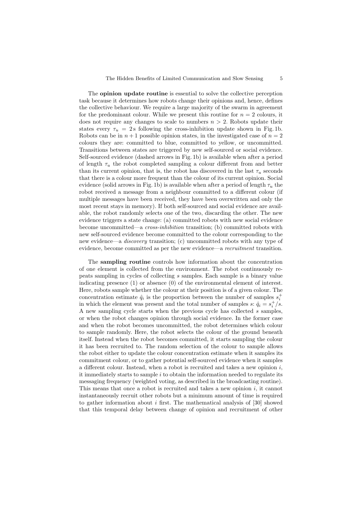The **opinion update routine** is essential to solve the collective perception task because it determines how robots change their opinions and, hence, defines the collective behaviour. We require a large majority of the swarm in agreement for the predominant colour. While we present this routine for  $n = 2$  colours, it does not require any changes to scale to numbers  $n > 2$ . Robots update their states every  $\tau_u = 2$  s following the cross-inhibition update shown in Fig. 1b. Robots can be in  $n+1$  possible opinion states, in the investigated case of  $n=2$ colours they are: committed to blue, committed to yellow, or uncommitted. Transitions between states are triggered by new self-sourced or social evidence. Self-sourced evidence (dashed arrows in Fig. 1b) is available when after a period of length  $\tau_u$  the robot completed sampling a colour different from and better than its current opinion, that is, the robot has discovered in the last  $\tau_u$  seconds that there is a colour more frequent than the colour of its current opinion. Social evidence (solid arrows in Fig. 1b) is available when after a period of length  $\tau_u$  the robot received a message from a neighbour committed to a different colour (if multiple messages have been received, they have been overwritten and only the most recent stays in memory). If both self-sourced and social evidence are available, the robot randomly selects one of the two, discarding the other. The new evidence triggers a state change: (a) committed robots with new social evidence become uncommitted—a cross-inhibition transition; (b) committed robots with new self-sourced evidence become committed to the colour corresponding to the new evidence—a discovery transition; (c) uncommitted robots with any type of evidence, become committed as per the new evidence—a recruitment transition.

The sampling routine controls how information about the concentration of one element is collected from the environment. The robot continuously repeats sampling in cycles of collecting s samples. Each sample is a binary value indicating presence  $(1)$  or absence  $(0)$  of the environmental element of interest. Here, robots sample whether the colour at their position is of a given colour. The concentration estimate  $\hat{q}_i$  is the proportion between the number of samples  $s_i^+$ in which the element was present and the total number of samples  $s: \hat{q}_i = s_i^+ / s$ . A new sampling cycle starts when the previous cycle has collected s samples, or when the robot changes opinion through social evidence. In the former case and when the robot becomes uncommitted, the robot determines which colour to sample randomly. Here, the robot selects the colour of the ground beneath itself. Instead when the robot becomes committed, it starts sampling the colour it has been recruited to. The random selection of the colour to sample allows the robot either to update the colour concentration estimate when it samples its commitment colour, or to gather potential self-sourced evidence when it samples a different colour. Instead, when a robot is recruited and takes a new opinion  $i$ , it immediately starts to sample  $i$  to obtain the information needed to regulate its messaging frequency (weighted voting, as described in the broadcasting routine). This means that once a robot is recruited and takes a new opinion i, it cannot instantaneously recruit other robots but a minimum amount of time is required to gather information about  $i$  first. The mathematical analysis of [30] showed that this temporal delay between change of opinion and recruitment of other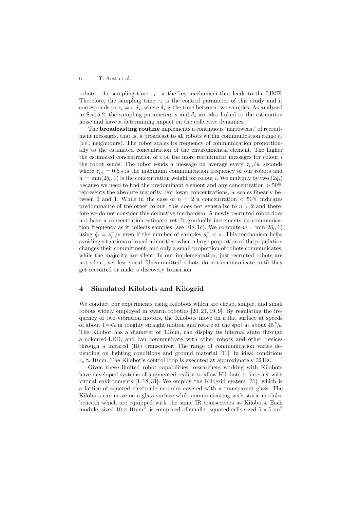robots—the sampling time  $\tau_s$ —is the key mechanism that leads to the LIME. Therefore, the sampling time  $\tau_s$  is the control parameter of this study and it corresponds to  $\tau_s = s \, \delta_s$ , where  $\delta_s$  is the time between two samples. As analysed in Sec. 5.2, the sampling parameters s and  $\delta_s$  are also linked to the estimation noise and have a determining impact on the collective dynamics.

The broadcasting routine implements a continuous 'narrowcast' of recruitment messages, that is, a broadcast to all robots within communication range  $r_c$ (i.e., neighbours). The robot scales its frequency of communication proportionally to the estimated concentration of the environmental element. The higher the estimated concentration of  $i$  is, the more recruitment messages for colour  $i$ the robot sends. The robot sends a message on average every  $\tau_m/w$  seconds where  $\tau_m = 0.5$  s is the maximum communication frequency of our robots and  $w = \min(2\hat{q}_i, 1)$  is the concentration weight for colour *i*. We multiply by two  $(2\hat{q}_i)$ because we need to find the predominant element and any concentration  $>50\%$ represents the absolute majority. For lower concentrations, w scales linearly between 0 and 1. While in the case of  $n = 2$  a concentration  $\lt 50\%$  indicates predominance of the other colour, this does not generalise to  $n > 2$  and therefore we do not consider this deductive mechanism. A newly recruited robot does not have a concentration estimate yet. It gradually increments its communication frequency as it collects samples (see Fig. 1c). We compute  $w = \min(2\hat{q}_i, 1)$ using  $\hat{q}_i = s_i^+/s$  even if the number of samples  $s_i^+ < s$ . This mechanism helps avoiding situations of vocal minorities: when a large proportion of the population changes their commitment, and only a small proportion of robots communicates, while the majority are silent. In our implementation, just-recruited robots are not silent, yet less vocal. Uncommitted robots do not communicate until they get recruited or make a discovery transition.

#### 4 Simulated Kilobots and Kilogrid

We conduct our experiments using Kilobots which are cheap, simple, and small robots widely employed in swarm robotics [20, 21, 19, 9]. By regulating the frequency of two vibration motors, the Kilobots move on a flat surface at speeds of about  $1 \text{ cm/s}$  in roughly straight motion and rotate at the spot at about  $45 \degree$ /s. The Kilobot has a diameter of 3.3 cm, can display its internal state through a coloured-LED, and can communicate with other robots and other devices through a infrared (IR) transceiver. The range of communication varies depending on lighting conditions and ground material [11]; in ideal conditions  $r_c \approx 10$  cm. The Kilobot's control loop is executed at approximately 32 Hz.

Given these limited robot capabilities, researchers working with Kilobots have developed systems of augmented reality to allow Kilobots to interact with virtual environments [1, 18, 31]. We employ the Kilogrid system [31], which is a lattice of squared electronic modules covered with a transparent glass. The Kilobots can move on a glass surface while communicating with static modules beneath which are equipped with the same IR transceivers as Kilobots. Each module, sized  $10 \times 10 \text{ cm}^2$ , is composed of smaller squared cells sized  $5 \times 5 \text{ cm}^2$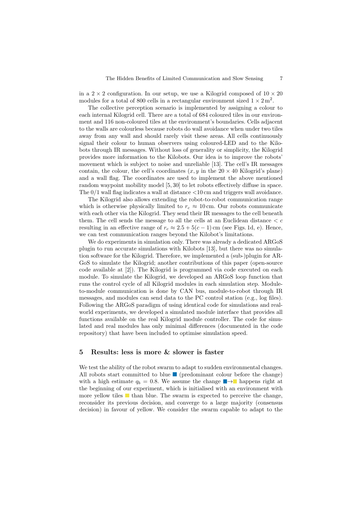in a  $2 \times 2$  configuration. In our setup, we use a Kilogrid composed of  $10 \times 20$ modules for a total of 800 cells in a rectangular environment sized  $1 \times 2 \text{ m}^2$ .

The collective perception scenario is implemented by assigning a colour to each internal Kilogrid cell. There are a total of 684 coloured tiles in our environment and 116 non-coloured tiles at the environment's boundaries. Cells adjacent to the walls are colourless because robots do wall avoidance when under two tiles away from any wall and should rarely visit these areas. All cells continuously signal their colour to human observers using coloured-LED and to the Kilobots through IR messages. Without loss of generality or simplicity, the Kilogrid provides more information to the Kilobots. Our idea is to improve the robots' movement which is subject to noise and unreliable [13]. The cell's IR messages contain, the colour, the cell's coordinates  $(x, y)$  in the 20  $\times$  40 Kilogrid's plane) and a wall flag. The coordinates are used to implement the above mentioned random waypoint mobility model [5, 30] to let robots effectively diffuse in space. The  $0/1$  wall flag indicates a wall at distance  $< 10 \,\mathrm{cm}$  and triggers wall avoidance.

The Kilogrid also allows extending the robot-to-robot communication range which is otherwise physically limited to  $r_c \approx 10$  cm. Our robots communicate with each other via the Kilogrid. They send their IR messages to the cell beneath them. The cell sends the message to all the cells at an Euclidean distance  $\langle c \rangle$ resulting in an effective range of  $r_c \approx 2.5 + 5(c - 1)$  cm (see Figs. 1d, e). Hence, we can test communication ranges beyond the Kilobot's limitations.

We do experiments in simulation only. There was already a dedicated ARGoS plugin to run accurate simulations with Kilobots [13], but there was no simulation software for the Kilogrid. Therefore, we implemented a (sub-)plugin for AR-GoS to simulate the Kilogrid; another contributions of this paper (open-source code available at [2]). The Kilogrid is programmed via code executed on each module. To simulate the Kilogrid, we developed an ARGoS loop function that runs the control cycle of all Kilogrid modules in each simulation step. Moduleto-module communication is done by CAN bus, module-to-robot through IR messages, and modules can send data to the PC control station (e.g., log files). Following the ARGoS paradigm of using identical code for simulations and realworld experiments, we developed a simulated module interface that provides all functions available on the real Kilogrid module controller. The code for simulated and real modules has only minimal differences (documented in the code repository) that have been included to optimise simulation speed.

#### 5 Results: less is more & slower is faster

We test the ability of the robot swarm to adapt to sudden environmental changes. All robots start committed to blue  $\blacksquare$  (predominant colour before the change) with a high estimate  $q_b = 0.8$ . We assume the change  $\blacksquare \rightarrow \blacksquare$  happens right at the beginning of our experiment, which is initialised with an environment with more yellow tiles  $\blacksquare$  than blue. The swarm is expected to perceive the change, reconsider its previous decision, and converge to a large majority (consensus decision) in favour of yellow. We consider the swarm capable to adapt to the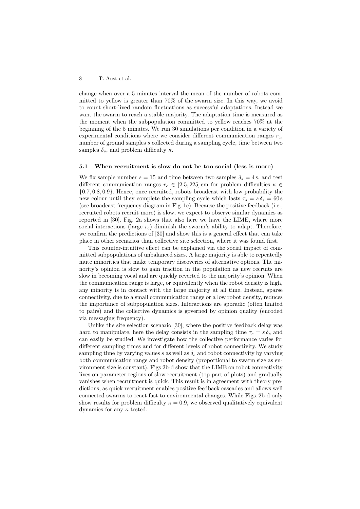change when over a 5 minutes interval the mean of the number of robots committed to yellow is greater than 70% of the swarm size. In this way, we avoid to count short-lived random fluctuations as successful adaptations. Instead we want the swarm to reach a stable majority. The adaptation time is measured as the moment when the subpopulation committed to yellow reaches 70% at the beginning of the 5 minutes. We run 30 simulations per condition in a variety of experimental conditions where we consider different communication ranges  $r_c$ , number of ground samples s collected during a sampling cycle, time between two samples  $\delta_s$ , and problem difficulty  $\kappa$ .

#### 5.1 When recruitment is slow do not be too social (less is more)

We fix sample number  $s = 15$  and time between two samples  $\delta_s = 4$  s, and test different communication ranges  $r_c \in [2.5, 225]$  cm for problem difficulties  $\kappa \in$ {0.7, 0.8, 0.9}. Hence, once recruited, robots broadcast with low probability the new colour until they complete the sampling cycle which lasts  $\tau_s = s\delta_s = 60 \,\mathrm{s}$ (see broadcast frequency diagram in Fig. 1c). Because the positive feedback (i.e., recruited robots recruit more) is slow, we expect to observe similar dynamics as reported in [30]. Fig. 2a shows that also here we have the LIME, where more social interactions (large  $r_c$ ) diminish the swarm's ability to adapt. Therefore, we confirm the predictions of [30] and show this is a general effect that can take place in other scenarios than collective site selection, where it was found first.

This counter-intuitive effect can be explained via the social impact of committed subpopulations of unbalanced sizes. A large majority is able to repeatedly mute minorities that make temporary discoveries of alternative options. The minority's opinion is slow to gain traction in the population as new recruits are slow in becoming vocal and are quickly reverted to the majority's opinion. When the communication range is large, or equivalently when the robot density is high, any minority is in contact with the large majority at all time. Instead, sparse connectivity, due to a small communication range or a low robot density, reduces the importance of subpopulation sizes. Interactions are sporadic (often limited to pairs) and the collective dynamics is governed by opinion quality (encoded via messaging frequency).

Unlike the site selection scenario [30], where the positive feedback delay was hard to manipulate, here the delay consists in the sampling time  $\tau_s = s \delta_s$  and can easily be studied. We investigate how the collective performance varies for different sampling times and for different levels of robot connectivity. We study sampling time by varying values s as well as  $\delta_s$  and robot connectivity by varying both communication range and robot density (proportional to swarm size as environment size is constant). Figs 2b-d show that the LIME on robot connectivity lives on parameter regions of slow recruitment (top part of plots) and gradually vanishes when recruitment is quick. This result is in agreement with theory predictions, as quick recruitment enables positive feedback cascades and allows well connected swarms to react fast to environmental changes. While Figs. 2b-d only show results for problem difficulty  $\kappa = 0.9$ , we observed qualitatively equivalent dynamics for any  $\kappa$  tested.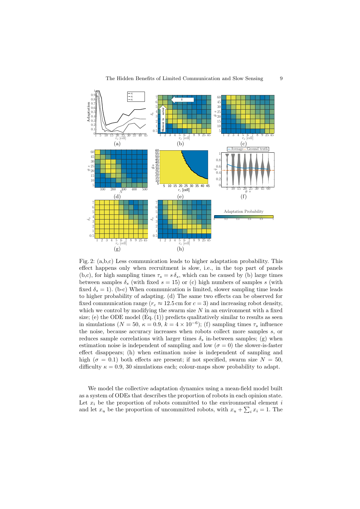

Fig. 2: (a,b,c) Less communication leads to higher adaptation probability. This effect happens only when recruitment is slow, i.e., in the top part of panels (b,c), for high sampling times  $\tau_s = s \delta_s$ , which can be caused by (b) large times between samples  $\delta_s$  (with fixed  $s = 15$ ) or (c) high numbers of samples s (with fixed  $\delta_s = 1$ ). (b-c) When communication is limited, slower sampling time leads to higher probability of adapting. (d) The same two effects can be observed for fixed communication range ( $r_c \approx 12.5$  cm for  $c = 3$ ) and increasing robot density, which we control by modifying the swarm size  $N$  in an environment with a fixed size; (e) the ODE model  $(Eq. (1))$  predicts qualitatively similar to results as seen in simulations ( $N = 50$ ,  $\kappa = 0.9$ ,  $k = 4 \times 10^{-6}$ ); (f) sampling times  $\tau_s$  influence the noise, because accuracy increases when robots collect more samples s, or reduces sample correlations with larger times  $\delta_s$  in-between samples; (g) when estimation noise is independent of sampling and low ( $\sigma = 0$ ) the slower-is-faster effect disappears; (h) when estimation noise is independent of sampling and high ( $\sigma = 0.1$ ) both effects are present; if not specified, swarm size  $N = 50$ , difficulty  $\kappa = 0.9$ , 30 simulations each; colour-maps show probability to adapt.

We model the collective adaptation dynamics using a mean-field model built as a system of ODEs that describes the proportion of robots in each opinion state. Let  $x_i$  be the proportion of robots committed to the environmental element i and let  $x_u$  be the proportion of uncommitted robots, with  $x_u + \sum_i x_i = 1$ . The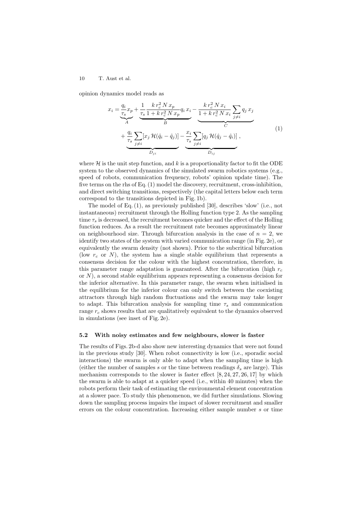opinion dynamics model reads as

$$
x_{i} = \underbrace{\frac{q_{i}}{r_{s}}x_{p}}_{A} + \underbrace{\frac{1}{r_{s}}\frac{k r_{c}^{2} N x_{p}}{1 + k r_{c}^{2} N x_{p}}q_{i} x_{i}}_{B} - \underbrace{\frac{k r_{c}^{2} N x_{i}}{1 + k r_{c}^{2} N x_{i}} \sum_{j \neq i} q_{j} x_{j}}_{C} + \underbrace{\frac{q_{i}}{r_{s}} \sum_{j \neq i} [x_{j} \mathcal{H}(\hat{q}_{i} - \hat{q}_{j})] - \frac{x_{i}}{r_{s}} \sum_{j \neq i} [q_{j} \mathcal{H}(\hat{q}_{j} - \hat{q}_{i})]}_{D_{ji}},
$$
\n(1)

where  $\mathcal H$  is the unit step function, and k is a proportionality factor to fit the ODE system to the observed dynamics of the simulated swarm robotics systems (e.g., speed of robots, communication frequency, robots' opinion update time). The five terms on the rhs of Eq. (1) model the discovery, recruitment, cross-inhibition, and direct switching transitions, respectively (the capital letters below each term correspond to the transitions depicted in Fig. 1b).

The model of Eq. (1), as previously published [30], describes 'slow' (i.e., not instantaneous) recruitment through the Holling function type 2. As the sampling time  $\tau_s$  is decreased, the recruitment becomes quicker and the effect of the Holling function reduces. As a result the recruitment rate becomes approximately linear on neighbourhood size. Through bifurcation analysis in the case of  $n = 2$ , we identify two states of the system with varied communication range (in Fig. 2e), or equivalently the swarm density (not shown). Prior to the subcritical bifurcation (low  $r_c$  or N), the system has a single stable equilibrium that represents a consensus decision for the colour with the highest concentration, therefore, in this parameter range adaptation is guaranteed. After the bifurcation (high  $r_c$ ) or  $N$ ), a second stable equilibrium appears representing a consensus decision for the inferior alternative. In this parameter range, the swarm when initialised in the equilibrium for the inferior colour can only switch between the coexisting attractors through high random fluctuations and the swarm may take longer to adapt. This bifurcation analysis for sampling time  $\tau_s$  and communication range  $r_c$  shows results that are qualitatively equivalent to the dynamics observed in simulations (see inset of Fig. 2e).

#### 5.2 With noisy estimates and few neighbours, slower is faster

The results of Figs. 2b-d also show new interesting dynamics that were not found in the previous study [30]. When robot connectivity is low (i.e., sporadic social interactions) the swarm is only able to adapt when the sampling time is high (either the number of samples s or the time between readings  $\delta_s$  are large). This mechanism corresponds to the slower is faster effect [8, 24, 27, 26, 17] by which the swarm is able to adapt at a quicker speed (i.e., within 40 minutes) when the robots perform their task of estimating the environmental element concentration at a slower pace. To study this phenomenon, we did further simulations. Slowing down the sampling process impairs the impact of slower recruitment and smaller errors on the colour concentration. Increasing either sample number s or time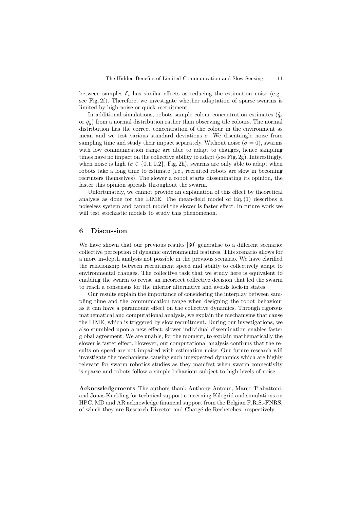between samples  $\delta_s$  has similar effects as reducing the estimation noise (e.g., see Fig. 2f). Therefore, we investigate whether adaptation of sparse swarms is limited by high noise or quick recruitment.

In additional simulations, robots sample colour concentration estimates  $(\hat{q}_b)$ or  $\hat{q}_y$  from a normal distribution rather than observing tile colours. The normal distribution has the correct concentration of the colour in the environment as mean and we test various standard deviations  $\sigma$ . We disentangle noise from sampling time and study their impact separately. Without noise ( $\sigma = 0$ ), swarms with low communication range are able to adapt to changes, hence sampling times have no impact on the collective ability to adapt (see Fig. 2g). Interestingly, when noise is high  $(\sigma \in \{0.1, 0.2\}, \text{Fig. 2h})$ , swarms are only able to adapt when robots take a long time to estimate (i.e., recruited robots are slow in becoming recruiters themselves). The slower a robot starts disseminating its opinion, the faster this opinion spreads throughout the swarm.

Unfortunately, we cannot provide an explanation of this effect by theoretical analysis as done for the LIME. The mean-field model of Eq. (1) describes a noiseless system and cannot model the slower is faster effect. In future work we will test stochastic models to study this phenomenon.

#### 6 Discussion

We have shown that our previous results [30] generalise to a different scenario: collective perception of dynamic environmental features. This scenario allows for a more in-depth analysis not possible in the previous scenario. We have clarified the relationship between recruitment speed and ability to collectively adapt to environmental changes. The collective task that we study here is equivalent to enabling the swarm to revise an incorrect collective decision that led the swarm to reach a consensus for the inferior alternative and avoids lock-in states.

Our results explain the importance of considering the interplay between sampling time and the communication range when designing the robot behaviour as it can have a paramount effect on the collective dynamics. Through rigorous mathematical and computational analysis, we explain the mechanisms that cause the LIME, which is triggered by slow recruitment. During our investigations, we also stumbled upon a new effect: slower individual dissemination enables faster global agreement. We are unable, for the moment, to explain mathematically the slower is faster effect. However, our computational analysis confirms that the results on speed are not impaired with estimation noise. Our future research will investigate the mechanisms causing such unexpected dynamics which are highly relevant for swarm robotics studies as they manifest when swarm connectivity is sparse and robots follow a simple behaviour subject to high levels of noise.

Acknowledgements The authors thank Anthony Antoun, Marco Trabattoni, and Jonas Kuckling for technical support concerning Kilogrid and simulations on HPC. MD and AR acknowledge financial support from the Belgian F.R.S.-FNRS, of which they are Research Director and Chargé de Recherches, respectively.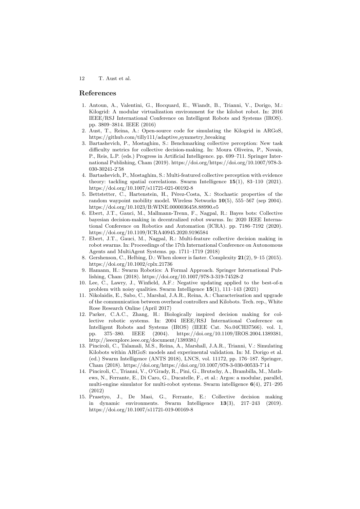#### References

- 1. Antoun, A., Valentini, G., Hocquard, E., Wiandt, B., Trianni, V., Dorigo, M.: Kilogrid: A modular virtualization environment for the kilobot robot. In: 2016 IEEE/RSJ International Conference on Intelligent Robots and Systems (IROS). pp. 3809–3814. IEEE (2016)
- 2. Aust, T., Reina, A.: Open-source code for simulating the Kilogrid in ARGoS, https://github.com/tilly111/adaptive symmetry breaking
- 3. Bartashevich, P., Mostaghim, S.: Benchmarking collective perception: New task difficulty metrics for collective decision-making. In: Moura Oliveira, P., Novais, P., Reis, L.P. (eds.) Progress in Artificial Intelligence. pp. 699–711. Springer International Publishing, Cham (2019). https://doi.org/https://doi.org/10.1007/978-3- 030-30241-2˙58
- 4. Bartashevich, P., Mostaghim, S.: Multi-featured collective perception with evidence theory: tackling spatial correlations. Swarm Intelligence 15(1), 83–110 (2021). https://doi.org/10.1007/s11721-021-00192-8
- 5. Bettstetter, C., Hartenstein, H., Pérez-Costa, X.: Stochastic properties of the random waypoint mobility model. Wireless Networks 10(5), 555–567 (sep 2004). https://doi.org/10.1023/B:WINE.0000036458.88990.e5
- 6. Ebert, J.T., Gauci, M., Mallmann-Trenn, F., Nagpal, R.: Bayes bots: Collective bayesian decision-making in decentralized robot swarms. In: 2020 IEEE International Conference on Robotics and Automation (ICRA). pp. 7186–7192 (2020). https://doi.org/10.1109/ICRA40945.2020.9196584
- 7. Ebert, J.T., Gauci, M., Nagpal, R.: Multi-feature collective decision making in robot swarms. In: Proceedings of the 17th International Conference on Autonomous Agents and MultiAgent Systems. pp. 1711–1719 (2018)
- 8. Gershenson, C., Helbing, D.: When slower is faster. Complexity 21(2), 9–15 (2015). https://doi.org/10.1002/cplx.21736
- 9. Hamann, H.: Swarm Robotics: A Formal Approach. Springer International Publishing, Cham (2018). https://doi.org/10.1007/978-3-319-74528-2
- 10. Lee, C., Lawry, J., Winfield, A.F.: Negative updating applied to the best-of-n problem with noisy qualities. Swarm Intelligence 15(1), 111–143 (2021)
- 11. Nikolaidis, E., Sabo, C., Marshal, J.A.R., Reina, A.: Characterisation and upgrade of the communication between overhead controllers and Kilobots. Tech. rep., White Rose Research Online (April 2017)
- 12. Parker, C.A.C., Zhang, H.: Biologically inspired decision making for collective robotic systems. In: 2004 IEEE/RSJ International Conference on Intelligent Robots and Systems (IROS) (IEEE Cat. No.04CH37566). vol. 1, pp. 375–380. IEEE (2004). https://doi.org/10.1109/IROS.2004.1389381, http://ieeexplore.ieee.org/document/1389381/
- 13. Pinciroli, C., Talamali, M.S., Reina, A., Marshall, J.A.R., Trianni, V.: Simulating Kilobots within ARGoS: models and experimental validation. In: M. Dorigo et al. (ed.) Swarm Intelligence (ANTS 2018), LNCS, vol. 11172, pp. 176–187. Springer, Cham (2018). https://doi.org/https://doi.org/10.1007/978-3-030-00533-7˙14
- 14. Pinciroli, C., Trianni, V., O'Grady, R., Pini, G., Brutschy, A., Brambilla, M., Mathews, N., Ferrante, E., Di Caro, G., Ducatelle, F., et al.: Argos: a modular, parallel, multi-engine simulator for multi-robot systems. Swarm intelligence  $6(4)$ , 271–295 (2012)
- 15. Prasetyo, J., De Masi, G., Ferrante, E.: Collective decision making in dynamic environments. Swarm Intelligence 13(3), 217–243 (2019). https://doi.org/10.1007/s11721-019-00169-8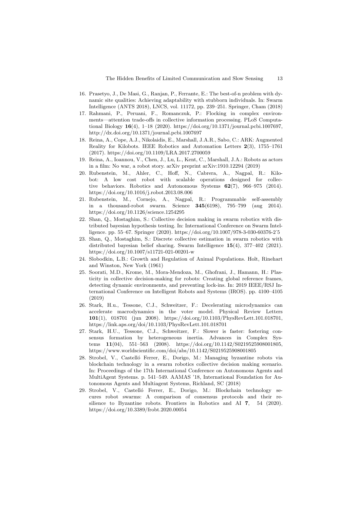- 16. Prasetyo, J., De Masi, G., Ranjan, P., Ferrante, E.: The best-of-n problem with dynamic site qualities: Achieving adaptability with stubborn individuals. In: Swarm Intelligence (ANTS 2018), LNCS, vol. 11172, pp. 239–251. Springer, Cham (2018)
- 17. Rahmani, P., Peruani, F., Romanczuk, P.: Flocking in complex environments—attention trade-offs in collective information processing. PLoS Computational Biology 16(4), 1–18 (2020). https://doi.org/10.1371/journal.pcbi.1007697, http://dx.doi.org/10.1371/journal.pcbi.1007697
- 18. Reina, A., Cope, A.J., Nikolaidis, E., Marshall, J.A.R., Sabo, C.: ARK: Augmented Reality for Kilobots. IEEE Robotics and Automation Letters 2(3), 1755–1761 (2017). https://doi.org/10.1109/LRA.2017.2700059
- 19. Reina, A., Ioannou, V., Chen, J., Lu, L., Kent, C., Marshall, J.A.: Robots as actors in a film: No war, a robot story. arXiv preprint arXiv:1910.12294 (2019)
- 20. Rubenstein, M., Ahler, C., Hoff, N., Cabrera, A., Nagpal, R.: Kilobot: A low cost robot with scalable operations designed for collective behaviors. Robotics and Autonomous Systems 62(7), 966–975 (2014). https://doi.org/10.1016/j.robot.2013.08.006
- 21. Rubenstein, M., Cornejo, A., Nagpal, R.: Programmable self-assembly in a thousand-robot swarm. Science 345(6198), 795–799 (aug 2014). https://doi.org/10.1126/science.1254295
- 22. Shan, Q., Mostaghim, S.: Collective decision making in swarm robotics with distributed bayesian hypothesis testing. In: International Conference on Swarm Intelligence. pp. 55–67. Springer (2020). https://doi.org/10.1007/978-3-030-60376-2˙5
- 23. Shan, Q., Mostaghim, S.: Discrete collective estimation in swarm robotics with distributed bayesian belief sharing. Swarm Intelligence 15(4), 377–402 (2021). https://doi.org/10.1007/s11721-021-00201-w
- 24. Slobodkin, L.B.: Growth and Regulation of Animal Populations. Holt, Rinehart and Winston, New York (1961)
- 25. Soorati, M.D., Krome, M., Mora-Mendoza, M., Ghofrani, J., Hamann, H.: Plasticity in collective decision-making for robots: Creating global reference frames, detecting dynamic environments, and preventing lock-ins. In: 2019 IEEE/RSJ International Conference on Intelligent Robots and Systems (IROS). pp. 4100–4105 (2019)
- 26. Stark, H.u., Tessone, C.J., Schweitzer, F.: Decelerating microdynamics can accelerate macrodynamics in the voter model. Physical Review Letters 101(1), 018701 (jun 2008). https://doi.org/10.1103/PhysRevLett.101.018701, https://link.aps.org/doi/10.1103/PhysRevLett.101.018701
- 27. Stark, H.U., Tessone, C.J., Schweitzer, F.: Slower is faster: fostering consensus formation by heterogeneous inertia. Advances in Complex Systems 11(04), 551–563 (2008). https://doi.org/10.1142/S0219525908001805, https://www.worldscientific.com/doi/abs/10.1142/S0219525908001805
- 28. Strobel, V., Castelló Ferrer, E., Dorigo, M.: Managing byzantine robots via blockchain technology in a swarm robotics collective decision making scenario. In: Proceedings of the 17th International Conference on Autonomous Agents and MultiAgent Systems. p. 541–549. AAMAS '18, International Foundation for Autonomous Agents and Multiagent Systems, Richland, SC (2018)
- 29. Strobel, V., Castelló Ferrer, E., Dorigo, M.: Blockchain technology secures robot swarms: A comparison of consensus protocols and their resilience to Byzantine robots. Frontiers in Robotics and AI 7, 54 (2020). https://doi.org/10.3389/frobt.2020.00054